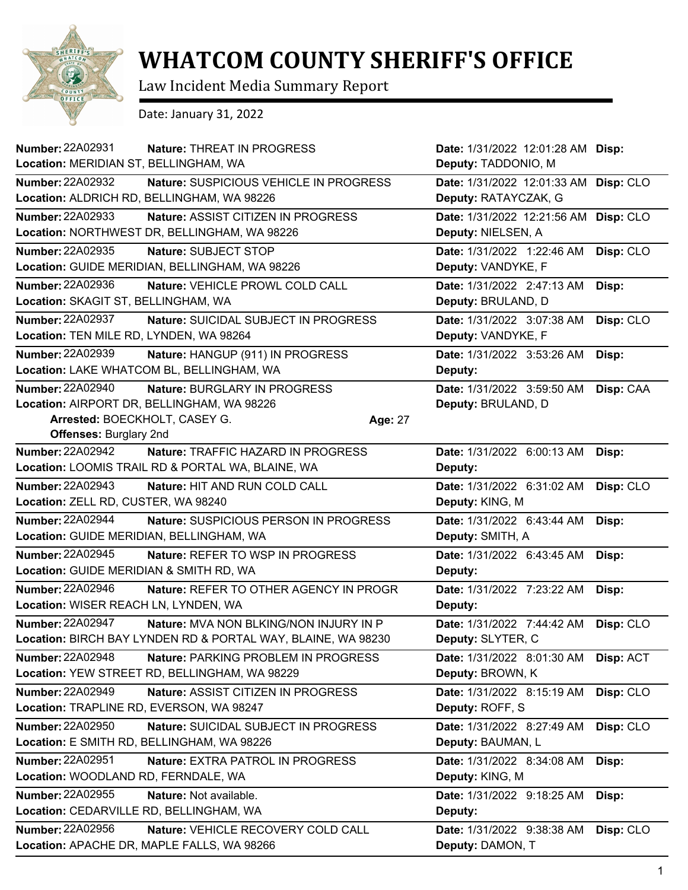

## **WHATCOM COUNTY SHERIFF'S OFFICE**

Law Incident Media Summary Report

Date: January 31, 2022

| <b>Number: 22A02931</b>                  | Nature: THREAT IN PROGRESS                                   |         | Date: 1/31/2022 12:01:28 AM Disp:     |           |
|------------------------------------------|--------------------------------------------------------------|---------|---------------------------------------|-----------|
| Location: MERIDIAN ST, BELLINGHAM, WA    |                                                              |         | Deputy: TADDONIO, M                   |           |
| <b>Number: 22A02932</b>                  | Nature: SUSPICIOUS VEHICLE IN PROGRESS                       |         | Date: 1/31/2022 12:01:33 AM Disp: CLO |           |
|                                          | Location: ALDRICH RD, BELLINGHAM, WA 98226                   |         | Deputy: RATAYCZAK, G                  |           |
| Number: 22A02933                         | Nature: ASSIST CITIZEN IN PROGRESS                           |         | Date: 1/31/2022 12:21:56 AM Disp: CLO |           |
|                                          | Location: NORTHWEST DR, BELLINGHAM, WA 98226                 |         | Deputy: NIELSEN, A                    |           |
| Number: 22A02935                         | Nature: SUBJECT STOP                                         |         | Date: 1/31/2022 1:22:46 AM            | Disp: CLO |
|                                          | Location: GUIDE MERIDIAN, BELLINGHAM, WA 98226               |         | Deputy: VANDYKE, F                    |           |
| <b>Number: 22A02936</b>                  | Nature: VEHICLE PROWL COLD CALL                              |         | Date: 1/31/2022 2:47:13 AM            | Disp:     |
| Location: SKAGIT ST, BELLINGHAM, WA      |                                                              |         | Deputy: BRULAND, D                    |           |
| <b>Number: 22A02937</b>                  | Nature: SUICIDAL SUBJECT IN PROGRESS                         |         | Date: 1/31/2022 3:07:38 AM            | Disp: CLO |
| Location: TEN MILE RD, LYNDEN, WA 98264  |                                                              |         | Deputy: VANDYKE, F                    |           |
| <b>Number: 22A02939</b>                  | Nature: HANGUP (911) IN PROGRESS                             |         | Date: 1/31/2022 3:53:26 AM            | Disp:     |
|                                          | Location: LAKE WHATCOM BL, BELLINGHAM, WA                    |         | Deputy:                               |           |
| <b>Number: 22A02940</b>                  | Nature: BURGLARY IN PROGRESS                                 |         | Date: 1/31/2022 3:59:50 AM            | Disp: CAA |
|                                          | Location: AIRPORT DR, BELLINGHAM, WA 98226                   |         | Deputy: BRULAND, D                    |           |
| Arrested: BOECKHOLT, CASEY G.            |                                                              | Age: 27 |                                       |           |
| <b>Offenses: Burglary 2nd</b>            |                                                              |         |                                       |           |
| <b>Number: 22A02942</b>                  | Nature: TRAFFIC HAZARD IN PROGRESS                           |         | Date: 1/31/2022 6:00:13 AM            | Disp:     |
|                                          | Location: LOOMIS TRAIL RD & PORTAL WA, BLAINE, WA            |         | Deputy:                               |           |
| Number: 22A02943                         | Nature: HIT AND RUN COLD CALL                                |         | Date: 1/31/2022 6:31:02 AM            | Disp: CLO |
| Location: ZELL RD, CUSTER, WA 98240      |                                                              |         | Deputy: KING, M                       |           |
| <b>Number: 22A02944</b>                  | Nature: SUSPICIOUS PERSON IN PROGRESS                        |         | Date: 1/31/2022 6:43:44 AM            | Disp:     |
| Location: GUIDE MERIDIAN, BELLINGHAM, WA |                                                              |         | Deputy: SMITH, A                      |           |
| <b>Number: 22A02945</b>                  | Nature: REFER TO WSP IN PROGRESS                             |         | Date: 1/31/2022 6:43:45 AM            | Disp:     |
| Location: GUIDE MERIDIAN & SMITH RD, WA  |                                                              |         | Deputy:                               |           |
| Number: 22A02946                         | Nature: REFER TO OTHER AGENCY IN PROGR                       |         | Date: 1/31/2022 7:23:22 AM            | Disp:     |
| Location: WISER REACH LN, LYNDEN, WA     |                                                              |         | Deputy:                               |           |
| <b>Number: 22A02947</b>                  | Nature: MVA NON BLKING/NON INJURY IN P                       |         | Date: 1/31/2022 7:44:42 AM            | Disp: CLO |
|                                          | Location: BIRCH BAY LYNDEN RD & PORTAL WAY, BLAINE, WA 98230 |         | Deputy: SLYTER, C                     |           |
| Number: 22A02948                         | Nature: PARKING PROBLEM IN PROGRESS                          |         | Date: 1/31/2022 8:01:30 AM            | Disp: ACT |
|                                          | Location: YEW STREET RD, BELLINGHAM, WA 98229                |         | Deputy: BROWN, K                      |           |
| <b>Number: 22A02949</b>                  | Nature: ASSIST CITIZEN IN PROGRESS                           |         | Date: 1/31/2022 8:15:19 AM            | Disp: CLO |
| Location: TRAPLINE RD, EVERSON, WA 98247 |                                                              |         | Deputy: ROFF, S                       |           |
| Number: 22A02950                         | Nature: SUICIDAL SUBJECT IN PROGRESS                         |         | Date: 1/31/2022 8:27:49 AM            | Disp: CLO |
|                                          | Location: E SMITH RD, BELLINGHAM, WA 98226                   |         | Deputy: BAUMAN, L                     |           |
| Number: 22A02951                         | Nature: EXTRA PATROL IN PROGRESS                             |         | Date: 1/31/2022 8:34:08 AM            | Disp:     |
| Location: WOODLAND RD, FERNDALE, WA      |                                                              |         | Deputy: KING, M                       |           |
| Number: 22A02955                         | Nature: Not available.                                       |         | Date: 1/31/2022 9:18:25 AM            | Disp:     |
| Location: CEDARVILLE RD, BELLINGHAM, WA  |                                                              |         | Deputy:                               |           |
| Number: 22A02956                         | Nature: VEHICLE RECOVERY COLD CALL                           |         | Date: 1/31/2022 9:38:38 AM            | Disp: CLO |
|                                          | Location: APACHE DR, MAPLE FALLS, WA 98266                   |         | Deputy: DAMON, T                      |           |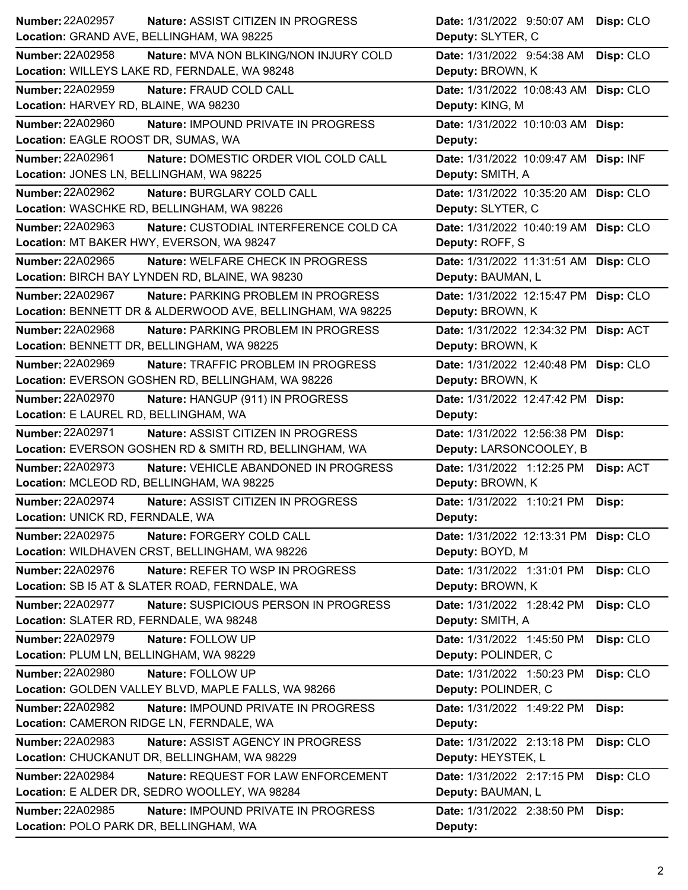| Number: 22A02957                           | <b>Nature: ASSIST CITIZEN IN PROGRESS</b>                  | Date: 1/31/2022 9:50:07 AM Disp: CLO  |           |
|--------------------------------------------|------------------------------------------------------------|---------------------------------------|-----------|
| Location: GRAND AVE, BELLINGHAM, WA 98225  |                                                            | Deputy: SLYTER, C                     |           |
| Number: 22A02958                           | Nature: MVA NON BLKING/NON INJURY COLD                     | Date: 1/31/2022 9:54:38 AM            | Disp: CLO |
|                                            | Location: WILLEYS LAKE RD, FERNDALE, WA 98248              | Deputy: BROWN, K                      |           |
| <b>Number: 22A02959</b>                    | Nature: FRAUD COLD CALL                                    | Date: 1/31/2022 10:08:43 AM Disp: CLO |           |
| Location: HARVEY RD, BLAINE, WA 98230      |                                                            | Deputy: KING, M                       |           |
| <b>Number: 22A02960</b>                    | Nature: IMPOUND PRIVATE IN PROGRESS                        | Date: 1/31/2022 10:10:03 AM Disp:     |           |
| Location: EAGLE ROOST DR, SUMAS, WA        |                                                            | Deputy:                               |           |
| Number: 22A02961                           | Nature: DOMESTIC ORDER VIOL COLD CALL                      | Date: 1/31/2022 10:09:47 AM Disp: INF |           |
| Location: JONES LN, BELLINGHAM, WA 98225   |                                                            | Deputy: SMITH, A                      |           |
| Number: 22A02962                           | Nature: BURGLARY COLD CALL                                 | Date: 1/31/2022 10:35:20 AM Disp: CLO |           |
|                                            | Location: WASCHKE RD, BELLINGHAM, WA 98226                 | Deputy: SLYTER, C                     |           |
| Number: 22A02963                           | Nature: CUSTODIAL INTERFERENCE COLD CA                     | Date: 1/31/2022 10:40:19 AM Disp: CLO |           |
| Location: MT BAKER HWY, EVERSON, WA 98247  |                                                            | Deputy: ROFF, S                       |           |
| Number: 22A02965                           | Nature: WELFARE CHECK IN PROGRESS                          | Date: 1/31/2022 11:31:51 AM Disp: CLO |           |
|                                            | Location: BIRCH BAY LYNDEN RD, BLAINE, WA 98230            | Deputy: BAUMAN, L                     |           |
| Number: 22A02967                           | <b>Nature: PARKING PROBLEM IN PROGRESS</b>                 | Date: 1/31/2022 12:15:47 PM Disp: CLO |           |
|                                            | Location: BENNETT DR & ALDERWOOD AVE, BELLINGHAM, WA 98225 | Deputy: BROWN, K                      |           |
| Number: 22A02968                           | Nature: PARKING PROBLEM IN PROGRESS                        | Date: 1/31/2022 12:34:32 PM Disp: ACT |           |
| Location: BENNETT DR, BELLINGHAM, WA 98225 |                                                            | Deputy: BROWN, K                      |           |
| <b>Number: 22A02969</b>                    | Nature: TRAFFIC PROBLEM IN PROGRESS                        | Date: 1/31/2022 12:40:48 PM Disp: CLO |           |
|                                            | Location: EVERSON GOSHEN RD, BELLINGHAM, WA 98226          | Deputy: BROWN, K                      |           |
| Number: 22A02970                           | Nature: HANGUP (911) IN PROGRESS                           | Date: 1/31/2022 12:47:42 PM Disp:     |           |
| Location: E LAUREL RD, BELLINGHAM, WA      |                                                            | Deputy:                               |           |
| <b>Number: 22A02971</b>                    | Nature: ASSIST CITIZEN IN PROGRESS                         | Date: 1/31/2022 12:56:38 PM Disp:     |           |
|                                            | Location: EVERSON GOSHEN RD & SMITH RD, BELLINGHAM, WA     | Deputy: LARSONCOOLEY, B               |           |
| <b>Number: 22A02973</b>                    |                                                            |                                       |           |
| Location: MCLEOD RD, BELLINGHAM, WA 98225  | Nature: VEHICLE ABANDONED IN PROGRESS                      | Date: 1/31/2022 1:12:25 PM            | Disp: ACT |
|                                            |                                                            | Deputy: BROWN, K                      |           |
| <b>Number: 22A02974</b>                    | Nature: ASSIST CITIZEN IN PROGRESS                         | Date: 1/31/2022 1:10:21 PM            | Disp:     |
| Location: UNICK RD, FERNDALE, WA           |                                                            | Deputy:                               |           |
| <b>Number: 22A02975</b>                    | Nature: FORGERY COLD CALL                                  | Date: 1/31/2022 12:13:31 PM Disp: CLO |           |
|                                            | Location: WILDHAVEN CRST, BELLINGHAM, WA 98226             | Deputy: BOYD, M                       |           |
| Number: 22A02976                           | Nature: REFER TO WSP IN PROGRESS                           | Date: 1/31/2022 1:31:01 PM Disp: CLO  |           |
|                                            | Location: SB I5 AT & SLATER ROAD, FERNDALE, WA             | Deputy: BROWN, K                      |           |
| <b>Number: 22A02977</b>                    | Nature: SUSPICIOUS PERSON IN PROGRESS                      | Date: 1/31/2022 1:28:42 PM            | Disp: CLO |
| Location: SLATER RD, FERNDALE, WA 98248    |                                                            | Deputy: SMITH, A                      |           |
| Number: 22A02979                           | Nature: FOLLOW UP                                          | Date: 1/31/2022 1:45:50 PM            | Disp: CLO |
| Location: PLUM LN, BELLINGHAM, WA 98229    |                                                            | Deputy: POLINDER, C                   |           |
| Number: 22A02980                           | Nature: FOLLOW UP                                          | Date: 1/31/2022 1:50:23 PM            | Disp: CLO |
|                                            | Location: GOLDEN VALLEY BLVD, MAPLE FALLS, WA 98266        | Deputy: POLINDER, C                   |           |
| <b>Number: 22A02982</b>                    | Nature: IMPOUND PRIVATE IN PROGRESS                        | Date: 1/31/2022 1:49:22 PM            | Disp:     |
| Location: CAMERON RIDGE LN, FERNDALE, WA   |                                                            | Deputy:                               |           |
| Number: 22A02983                           | Nature: ASSIST AGENCY IN PROGRESS                          | Date: 1/31/2022 2:13:18 PM            | Disp: CLO |
|                                            | Location: CHUCKANUT DR, BELLINGHAM, WA 98229               | Deputy: HEYSTEK, L                    |           |
| <b>Number: 22A02984</b>                    | Nature: REQUEST FOR LAW ENFORCEMENT                        | Date: 1/31/2022 2:17:15 PM            | Disp: CLO |
|                                            | Location: E ALDER DR, SEDRO WOOLLEY, WA 98284              | Deputy: BAUMAN, L                     |           |
| <b>Number: 22A02985</b>                    | Nature: IMPOUND PRIVATE IN PROGRESS                        | Date: 1/31/2022 2:38:50 PM            | Disp:     |
| Location: POLO PARK DR, BELLINGHAM, WA     |                                                            | Deputy:                               |           |
|                                            |                                                            |                                       |           |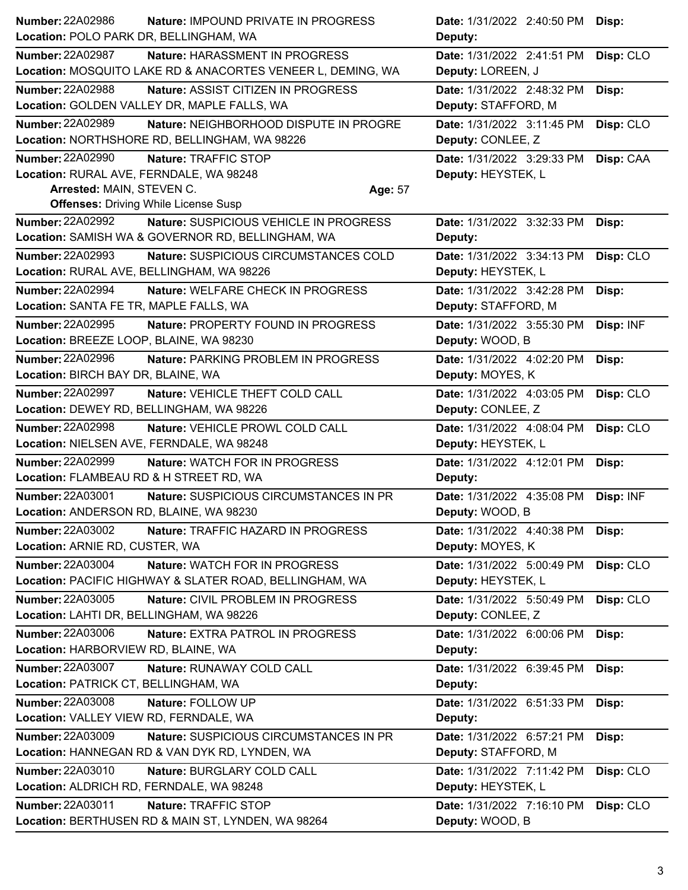|                                           | <b>Nature: IMPOUND PRIVATE IN PROGRESS</b>                  |         | Date: 1/31/2022 2:40:50 PM | Disp:     |
|-------------------------------------------|-------------------------------------------------------------|---------|----------------------------|-----------|
| Location: POLO PARK DR, BELLINGHAM, WA    |                                                             |         | Deputy:                    |           |
| <b>Number: 22A02987</b>                   | Nature: HARASSMENT IN PROGRESS                              |         | Date: 1/31/2022 2:41:51 PM | Disp: CLO |
|                                           | Location: MOSQUITO LAKE RD & ANACORTES VENEER L, DEMING, WA |         | Deputy: LOREEN, J          |           |
| <b>Number: 22A02988</b>                   | Nature: ASSIST CITIZEN IN PROGRESS                          |         | Date: 1/31/2022 2:48:32 PM | Disp:     |
|                                           | Location: GOLDEN VALLEY DR, MAPLE FALLS, WA                 |         | Deputy: STAFFORD, M        |           |
| <b>Number: 22A02989</b>                   | Nature: NEIGHBORHOOD DISPUTE IN PROGRE                      |         | Date: 1/31/2022 3:11:45 PM | Disp: CLO |
|                                           | Location: NORTHSHORE RD, BELLINGHAM, WA 98226               |         | Deputy: CONLEE, Z          |           |
| <b>Number: 22A02990</b>                   | Nature: TRAFFIC STOP                                        |         | Date: 1/31/2022 3:29:33 PM | Disp: CAA |
| Location: RURAL AVE, FERNDALE, WA 98248   |                                                             |         | Deputy: HEYSTEK, L         |           |
| Arrested: MAIN, STEVEN C.                 |                                                             | Age: 57 |                            |           |
|                                           | <b>Offenses: Driving While License Susp</b>                 |         |                            |           |
| Number: 22A02992                          | Nature: SUSPICIOUS VEHICLE IN PROGRESS                      |         | Date: 1/31/2022 3:32:33 PM | Disp:     |
|                                           | Location: SAMISH WA & GOVERNOR RD, BELLINGHAM, WA           |         | Deputy:                    |           |
| <b>Number: 22A02993</b>                   | Nature: SUSPICIOUS CIRCUMSTANCES COLD                       |         | Date: 1/31/2022 3:34:13 PM | Disp: CLO |
| Location: RURAL AVE, BELLINGHAM, WA 98226 |                                                             |         | Deputy: HEYSTEK, L         |           |
| Number: 22A02994                          | Nature: WELFARE CHECK IN PROGRESS                           |         | Date: 1/31/2022 3:42:28 PM | Disp:     |
| Location: SANTA FE TR, MAPLE FALLS, WA    |                                                             |         | Deputy: STAFFORD, M        |           |
| <b>Number: 22A02995</b>                   | Nature: PROPERTY FOUND IN PROGRESS                          |         | Date: 1/31/2022 3:55:30 PM | Disp: INF |
| Location: BREEZE LOOP, BLAINE, WA 98230   |                                                             |         | Deputy: WOOD, B            |           |
| <b>Number: 22A02996</b>                   | Nature: PARKING PROBLEM IN PROGRESS                         |         | Date: 1/31/2022 4:02:20 PM | Disp:     |
| Location: BIRCH BAY DR, BLAINE, WA        |                                                             |         | Deputy: MOYES, K           |           |
| <b>Number: 22A02997</b>                   | Nature: VEHICLE THEFT COLD CALL                             |         | Date: 1/31/2022 4:03:05 PM | Disp: CLO |
| Location: DEWEY RD, BELLINGHAM, WA 98226  |                                                             |         | Deputy: CONLEE, Z          |           |
| <b>Number: 22A02998</b>                   | Nature: VEHICLE PROWL COLD CALL                             |         | Date: 1/31/2022 4:08:04 PM | Disp: CLO |
| Location: NIELSEN AVE, FERNDALE, WA 98248 |                                                             |         | Deputy: HEYSTEK, L         |           |
| Number: 22A02999                          | Nature: WATCH FOR IN PROGRESS                               |         | Date: 1/31/2022 4:12:01 PM | Disp:     |
| Location: FLAMBEAU RD & H STREET RD, WA   |                                                             |         | Deputy:                    |           |
| Number: 22A03001                          | Nature: SUSPICIOUS CIRCUMSTANCES IN PR                      |         | Date: 1/31/2022 4:35:08 PM | Disp: INF |
|                                           |                                                             |         |                            |           |
|                                           | Location: ANDERSON RD, BLAINE, WA 98230                     |         | Deputy: WOOD, B            |           |
| <b>Number: 22A03002</b>                   | Nature: TRAFFIC HAZARD IN PROGRESS                          |         | Date: 1/31/2022 4:40:38 PM | Disp:     |
| Location: ARNIE RD, CUSTER, WA            |                                                             |         | Deputy: MOYES, K           |           |
| <b>Number: 22A03004</b>                   | Nature: WATCH FOR IN PROGRESS                               |         | Date: 1/31/2022 5:00:49 PM | Disp: CLO |
|                                           | Location: PACIFIC HIGHWAY & SLATER ROAD, BELLINGHAM, WA     |         | Deputy: HEYSTEK, L         |           |
| <b>Number: 22A03005</b>                   | Nature: CIVIL PROBLEM IN PROGRESS                           |         | Date: 1/31/2022 5:50:49 PM | Disp: CLO |
| Location: LAHTI DR, BELLINGHAM, WA 98226  |                                                             |         | Deputy: CONLEE, Z          |           |
| Number: 22A03006                          | Nature: EXTRA PATROL IN PROGRESS                            |         | Date: 1/31/2022 6:00:06 PM | Disp:     |
| Location: HARBORVIEW RD, BLAINE, WA       |                                                             |         | Deputy:                    |           |
| Number: 22A03007                          | Nature: RUNAWAY COLD CALL                                   |         | Date: 1/31/2022 6:39:45 PM | Disp:     |
| Location: PATRICK CT, BELLINGHAM, WA      |                                                             |         | Deputy:                    |           |
| Number: 22A03008                          | Nature: FOLLOW UP                                           |         | Date: 1/31/2022 6:51:33 PM | Disp:     |
| Location: VALLEY VIEW RD, FERNDALE, WA    |                                                             |         | Deputy:                    |           |
| Number: 22A03009                          | Nature: SUSPICIOUS CIRCUMSTANCES IN PR                      |         | Date: 1/31/2022 6:57:21 PM | Disp:     |
|                                           | Location: HANNEGAN RD & VAN DYK RD, LYNDEN, WA              |         | Deputy: STAFFORD, M        |           |
| <b>Number: 22A03010</b>                   | Nature: BURGLARY COLD CALL                                  |         | Date: 1/31/2022 7:11:42 PM | Disp: CLO |
| Location: ALDRICH RD, FERNDALE, WA 98248  |                                                             |         | Deputy: HEYSTEK, L         |           |
| Number: 22A03011                          | Nature: TRAFFIC STOP                                        |         | Date: 1/31/2022 7:16:10 PM | Disp: CLO |